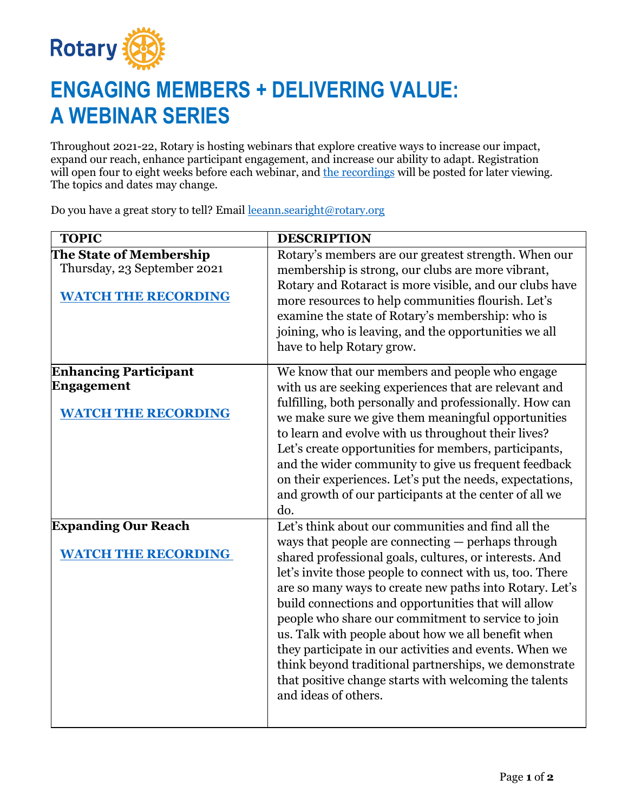

## **ENGAGING MEMBERS + DELIVERING VALUE: A WEBINAR SERIES**

Throughout 2021-22, Rotary is hosting webinars that explore creative ways to increase our impact, expand our reach, enhance participant engagement, and increase our ability to adapt. Registration will open four to eight weeks before each webinar, and [the recordings](https://vimeo.com/channels/rotarymembership) will be posted for later viewing. The topics and dates may change.

Do you have a great story to tell? Email [leeann.searight@rotary.org](mailto:leeann.searight@rotary.org)

| <b>TOPIC</b>                                                                         | <b>DESCRIPTION</b>                                                                                                                                                                                                                                                                                                                                                                                                                                                                                                                                                                                         |
|--------------------------------------------------------------------------------------|------------------------------------------------------------------------------------------------------------------------------------------------------------------------------------------------------------------------------------------------------------------------------------------------------------------------------------------------------------------------------------------------------------------------------------------------------------------------------------------------------------------------------------------------------------------------------------------------------------|
| The State of Membership<br>Thursday, 23 September 2021<br><b>WATCH THE RECORDING</b> | Rotary's members are our greatest strength. When our<br>membership is strong, our clubs are more vibrant,<br>Rotary and Rotaract is more visible, and our clubs have<br>more resources to help communities flourish. Let's<br>examine the state of Rotary's membership: who is<br>joining, who is leaving, and the opportunities we all<br>have to help Rotary grow.                                                                                                                                                                                                                                       |
| <b>Enhancing Participant</b>                                                         | We know that our members and people who engage                                                                                                                                                                                                                                                                                                                                                                                                                                                                                                                                                             |
| Engagement                                                                           | with us are seeking experiences that are relevant and                                                                                                                                                                                                                                                                                                                                                                                                                                                                                                                                                      |
| <b>WATCH THE RECORDING</b>                                                           | fulfilling, both personally and professionally. How can<br>we make sure we give them meaningful opportunities<br>to learn and evolve with us throughout their lives?<br>Let's create opportunities for members, participants,<br>and the wider community to give us frequent feedback<br>on their experiences. Let's put the needs, expectations,<br>and growth of our participants at the center of all we<br>do.                                                                                                                                                                                         |
| <b>Expanding Our Reach</b>                                                           | Let's think about our communities and find all the                                                                                                                                                                                                                                                                                                                                                                                                                                                                                                                                                         |
| <b>WATCH THE RECORDING</b>                                                           | ways that people are connecting — perhaps through<br>shared professional goals, cultures, or interests. And<br>let's invite those people to connect with us, too. There<br>are so many ways to create new paths into Rotary. Let's<br>build connections and opportunities that will allow<br>people who share our commitment to service to join<br>us. Talk with people about how we all benefit when<br>they participate in our activities and events. When we<br>think beyond traditional partnerships, we demonstrate<br>that positive change starts with welcoming the talents<br>and ideas of others. |